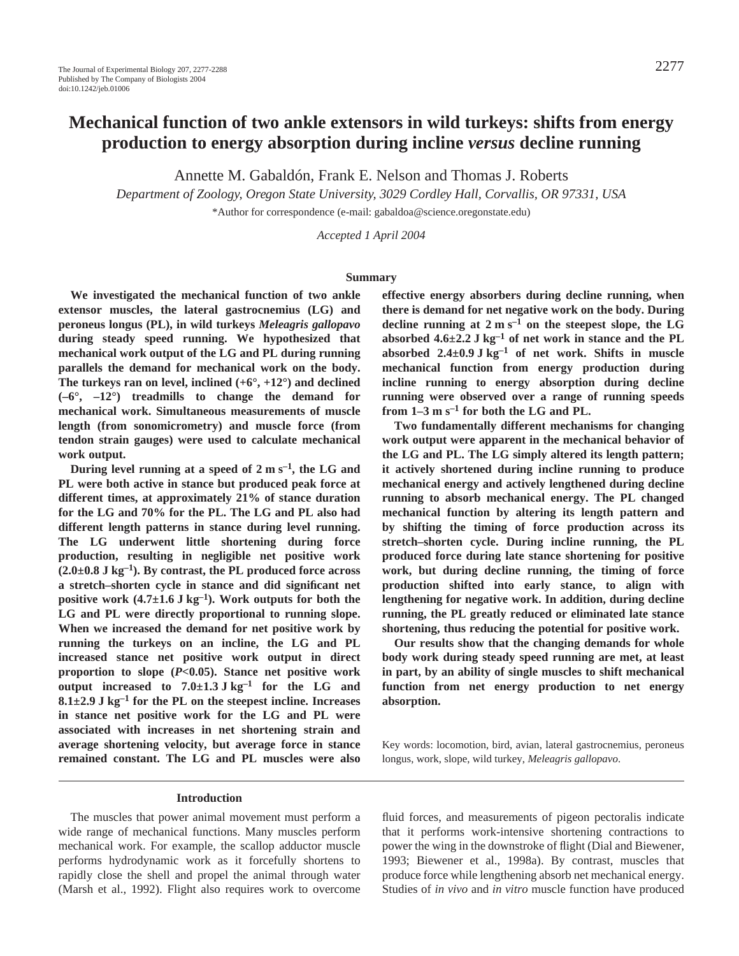# **Mechanical function of two ankle extensors in wild turkeys: shifts from energy production to energy absorption during incline** *versus* **decline running**

Annette M. Gabaldón, Frank E. Nelson and Thomas J. Roberts

*Department of Zoology, Oregon State University, 3029 Cordley Hall, Corvallis, OR 97331, USA*

\*Author for correspondence (e-mail: gabaldoa@science.oregonstate.edu)

*Accepted 1 April 2004*

# **Summary**

**We investigated the mechanical function of two ankle extensor muscles, the lateral gastrocnemius (LG) and peroneus longus (PL), in wild turkeys** *Meleagris gallopavo* **during steady speed running. We hypothesized that mechanical work output of the LG and PL during running parallels the demand for mechanical work on the body. The turkeys ran on level, inclined (+6°, +12°) and declined (–6°, –12°) treadmills to change the demand for mechanical work. Simultaneous measurements of muscle length (from sonomicrometry) and muscle force (from tendon strain gauges) were used to calculate mechanical work output.** 

During level running at a speed of  $2 \text{ m s}^{-1}$ , the LG and **PL were both active in stance but produced peak force at different times, at approximately 21% of stance duration for the LG and 70% for the PL. The LG and PL also had different length patterns in stance during level running. The LG underwent little shortening during force production, resulting in negligible net positive work**  $(2.0\pm0.8~\mathrm{J~kg^{-1}})$ . By contrast, the PL produced force across **a stretch–shorten cycle in stance and did significant net positive work**  $(4.7\pm1.6~\mathrm{J~kg}^{-1})$ **. Work outputs for both the LG and PL were directly proportional to running slope. When we increased the demand for net positive work by running the turkeys on an incline, the LG and PL increased stance net positive work output in direct proportion to slope (***P***<0.05). Stance net positive work output increased to**  $7.0 \pm 1.3$  **J kg<sup>-1</sup> for the LG and**  $8.1 \pm 2.9$  J kg<sup>-1</sup> for the PL on the steepest incline. Increases **in stance net positive work for the LG and PL were associated with increases in net shortening strain and average shortening velocity, but average force in stance remained constant. The LG and PL muscles were also**

**effective energy absorbers during decline running, when there is demand for net negative work on the body. During** decline running at  $2 \text{ m s}^{-1}$  on the steepest slope, the LG absorbed  $4.6 \pm 2.2$  J  $kg^{-1}$  of net work in stance and the PL absorbed  $2.4\pm0.9$  J kg<sup>-1</sup> of net work. Shifts in muscle **mechanical function from energy production during incline running to energy absorption during decline running were observed over a range of running speeds** from  $1-3$  m  $s^{-1}$  for both the LG and PL.

**Two fundamentally different mechanisms for changing work output were apparent in the mechanical behavior of the LG and PL. The LG simply altered its length pattern; it actively shortened during incline running to produce mechanical energy and actively lengthened during decline running to absorb mechanical energy. The PL changed mechanical function by altering its length pattern and by shifting the timing of force production across its stretch–shorten cycle. During incline running, the PL produced force during late stance shortening for positive work, but during decline running, the timing of force production shifted into early stance, to align with lengthening for negative work. In addition, during decline running, the PL greatly reduced or eliminated late stance shortening, thus reducing the potential for positive work.** 

**Our results show that the changing demands for whole body work during steady speed running are met, at least in part, by an ability of single muscles to shift mechanical function from net energy production to net energy absorption.**

Key words: locomotion, bird, avian, lateral gastrocnemius, peroneus longus, work, slope, wild turkey, *Meleagris gallopavo*.

#### **Introduction**

The muscles that power animal movement must perform a wide range of mechanical functions. Many muscles perform mechanical work. For example, the scallop adductor muscle performs hydrodynamic work as it forcefully shortens to rapidly close the shell and propel the animal through water (Marsh et al., 1992). Flight also requires work to overcome

fluid forces, and measurements of pigeon pectoralis indicate that it performs work-intensive shortening contractions to power the wing in the downstroke of flight (Dial and Biewener, 1993; Biewener et al., 1998a). By contrast, muscles that produce force while lengthening absorb net mechanical energy. Studies of *in vivo* and *in vitro* muscle function have produced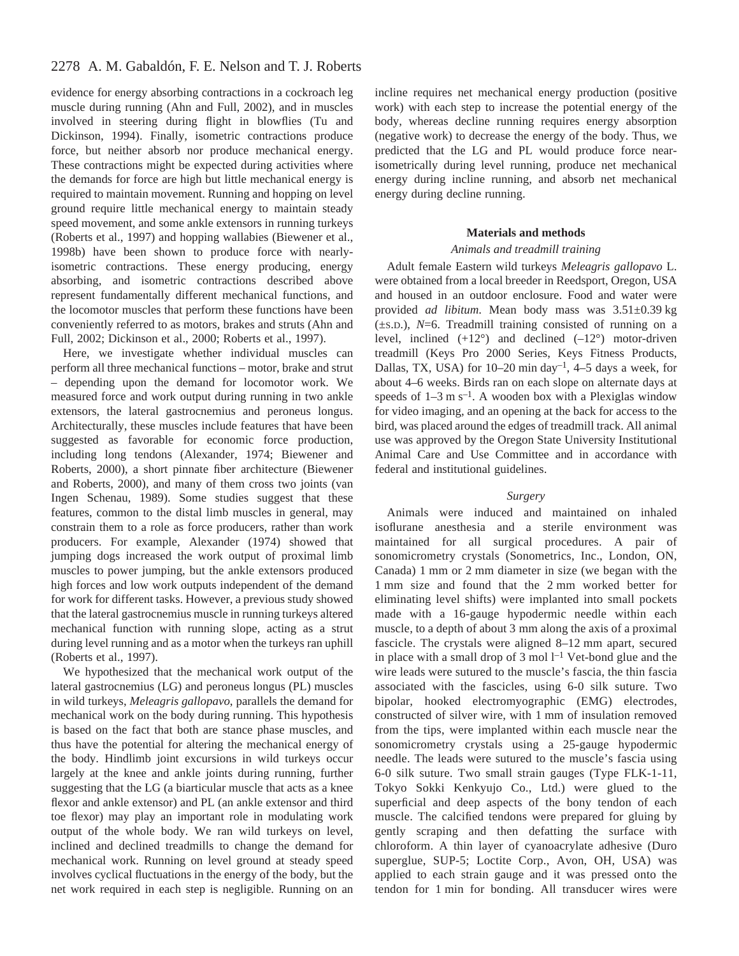evidence for energy absorbing contractions in a cockroach leg muscle during running (Ahn and Full, 2002), and in muscles involved in steering during flight in blowflies (Tu and Dickinson, 1994). Finally, isometric contractions produce force, but neither absorb nor produce mechanical energy. These contractions might be expected during activities where the demands for force are high but little mechanical energy is required to maintain movement. Running and hopping on level ground require little mechanical energy to maintain steady speed movement, and some ankle extensors in running turkeys (Roberts et al., 1997) and hopping wallabies (Biewener et al., 1998b) have been shown to produce force with nearlyisometric contractions. These energy producing, energy absorbing, and isometric contractions described above represent fundamentally different mechanical functions, and the locomotor muscles that perform these functions have been conveniently referred to as motors, brakes and struts (Ahn and Full, 2002; Dickinson et al., 2000; Roberts et al., 1997).

Here, we investigate whether individual muscles can perform all three mechanical functions – motor, brake and strut – depending upon the demand for locomotor work. We measured force and work output during running in two ankle extensors, the lateral gastrocnemius and peroneus longus. Architecturally, these muscles include features that have been suggested as favorable for economic force production, including long tendons (Alexander, 1974; Biewener and Roberts, 2000), a short pinnate fiber architecture (Biewener and Roberts, 2000), and many of them cross two joints (van Ingen Schenau, 1989). Some studies suggest that these features, common to the distal limb muscles in general, may constrain them to a role as force producers, rather than work producers. For example, Alexander (1974) showed that jumping dogs increased the work output of proximal limb muscles to power jumping, but the ankle extensors produced high forces and low work outputs independent of the demand for work for different tasks. However, a previous study showed that the lateral gastrocnemius muscle in running turkeys altered mechanical function with running slope, acting as a strut during level running and as a motor when the turkeys ran uphill (Roberts et al., 1997).

We hypothesized that the mechanical work output of the lateral gastrocnemius (LG) and peroneus longus (PL) muscles in wild turkeys, *Meleagris gallopavo*, parallels the demand for mechanical work on the body during running. This hypothesis is based on the fact that both are stance phase muscles, and thus have the potential for altering the mechanical energy of the body. Hindlimb joint excursions in wild turkeys occur largely at the knee and ankle joints during running, further suggesting that the LG (a biarticular muscle that acts as a knee flexor and ankle extensor) and PL (an ankle extensor and third toe flexor) may play an important role in modulating work output of the whole body. We ran wild turkeys on level, inclined and declined treadmills to change the demand for mechanical work. Running on level ground at steady speed involves cyclical fluctuations in the energy of the body, but the net work required in each step is negligible. Running on an incline requires net mechanical energy production (positive work) with each step to increase the potential energy of the body, whereas decline running requires energy absorption (negative work) to decrease the energy of the body. Thus, we predicted that the LG and PL would produce force nearisometrically during level running, produce net mechanical energy during incline running, and absorb net mechanical energy during decline running.

### **Materials and methods**

# *Animals and treadmill training*

Adult female Eastern wild turkeys *Meleagris gallopavo* L. were obtained from a local breeder in Reedsport, Oregon, USA and housed in an outdoor enclosure. Food and water were provided *ad libitum*. Mean body mass was 3.51±0.39 kg (±S.D.), *N*=6. Treadmill training consisted of running on a level, inclined  $(+12^{\circ})$  and declined  $(-12^{\circ})$  motor-driven treadmill (Keys Pro 2000 Series, Keys Fitness Products, Dallas, TX, USA) for  $10-20$  min day<sup>-1</sup>, 4–5 days a week, for about 4–6 weeks. Birds ran on each slope on alternate days at speeds of  $1-3$  m s<sup>-1</sup>. A wooden box with a Plexiglas window for video imaging, and an opening at the back for access to the bird, was placed around the edges of treadmill track. All animal use was approved by the Oregon State University Institutional Animal Care and Use Committee and in accordance with federal and institutional guidelines.

#### *Surgery*

Animals were induced and maintained on inhaled isoflurane anesthesia and a sterile environment was maintained for all surgical procedures. A pair of sonomicrometry crystals (Sonometrics, Inc., London, ON, Canada) 1 mm or 2 mm diameter in size (we began with the 1 mm size and found that the 2 mm worked better for eliminating level shifts) were implanted into small pockets made with a 16-gauge hypodermic needle within each muscle, to a depth of about 3 mm along the axis of a proximal fascicle. The crystals were aligned  $8-12$  mm apart, secured in place with a small drop of 3 mol  $l^{-1}$  Vet-bond glue and the wire leads were sutured to the muscle's fascia, the thin fascia associated with the fascicles, using 6-0 silk suture. Two bipolar, hooked electromyographic (EMG) electrodes, constructed of silver wire, with 1 mm of insulation removed from the tips, were implanted within each muscle near the sonomicrometry crystals using a 25-gauge hypodermic needle. The leads were sutured to the muscle's fascia using 6-0 silk suture. Two small strain gauges (Type FLK-1-11, Tokyo Sokki Kenkyujo Co., Ltd.) were glued to the superficial and deep aspects of the bony tendon of each muscle. The calcified tendons were prepared for gluing by gently scraping and then defatting the surface with chloroform. A thin layer of cyanoacrylate adhesive (Duro superglue, SUP-5; Loctite Corp., Avon, OH, USA) was applied to each strain gauge and it was pressed onto the tendon for 1 min for bonding. All transducer wires were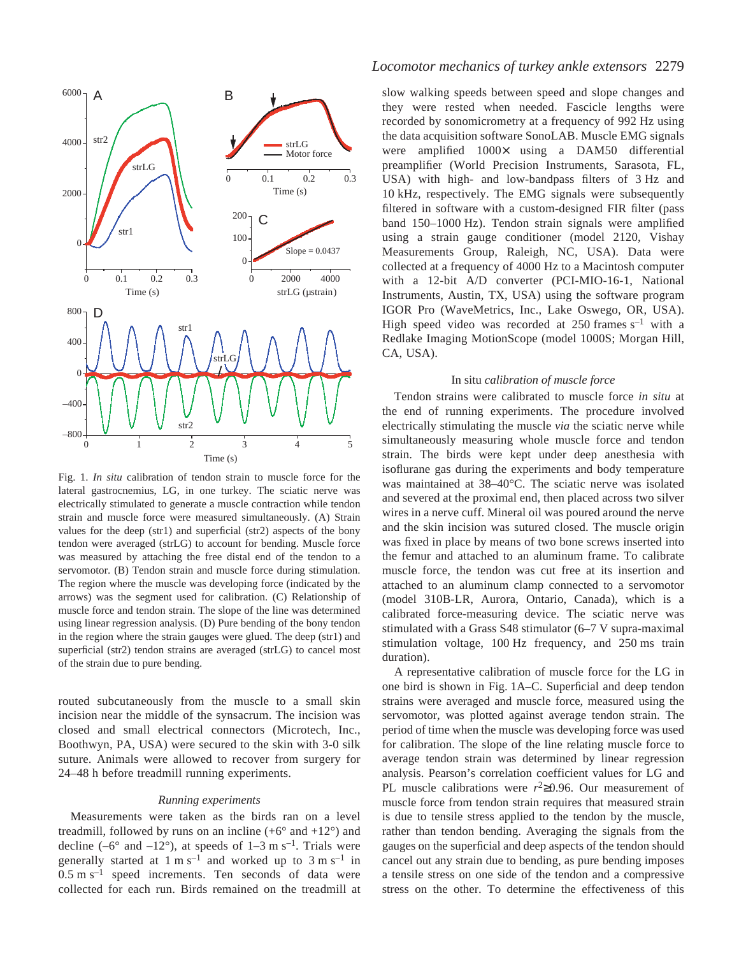

Fig. 1. *In situ* calibration of tendon strain to muscle force for the lateral gastrocnemius, LG, in one turkey. The sciatic nerve was electrically stimulated to generate a muscle contraction while tendon strain and muscle force were measured simultaneously. (A) Strain values for the deep (str1) and superficial (str2) aspects of the bony tendon were averaged (strLG) to account for bending. Muscle force was measured by attaching the free distal end of the tendon to a servomotor. (B) Tendon strain and muscle force during stimulation. The region where the muscle was developing force (indicated by the arrows) was the segment used for calibration. (C) Relationship of muscle force and tendon strain. The slope of the line was determined using linear regression analysis. (D) Pure bending of the bony tendon in the region where the strain gauges were glued. The deep (str1) and superficial (str2) tendon strains are averaged (strLG) to cancel most of the strain due to pure bending.

routed subcutaneously from the muscle to a small skin incision near the middle of the synsacrum. The incision was closed and small electrical connectors (Microtech, Inc., Boothwyn, PA, USA) were secured to the skin with 3-0 silk suture. Animals were allowed to recover from surgery for 24–48 h before treadmill running experiments.

#### *Running experiments*

Measurements were taken as the birds ran on a level treadmill, followed by runs on an incline  $(+6^{\circ}$  and  $+12^{\circ})$  and decline  $(-6^{\circ}$  and  $-12^{\circ})$ , at speeds of  $1-3$  m s<sup>-1</sup>. Trials were generally started at  $1 \text{ m s}^{-1}$  and worked up to  $3 \text{ m s}^{-1}$  in  $0.5~\mathrm{m~s^{-1}}$  speed increments. Ten seconds of data were collected for each run. Birds remained on the treadmill at

# *Locomotor mechanics of turkey ankle extensors* 2279

slow walking speeds between speed and slope changes and they were rested when needed. Fascicle lengths were recorded by sonomicrometry at a frequency of 992 Hz using the data acquisition software SonoLAB. Muscle EMG signals were amplified  $1000 \times$  using a DAM50 differential preamplifier (World Precision Instruments, Sarasota, FL, USA) with high- and low-bandpass filters of 3 Hz and 10 kHz, respectively. The EMG signals were subsequently filtered in software with a custom-designed FIR filter (pass band 150–1000 Hz). Tendon strain signals were amplified using a strain gauge conditioner (model 2120, Vishay Measurements Group, Raleigh, NC, USA). Data were collected at a frequency of 4000 Hz to a Macintosh computer with a 12-bit A/D converter (PCI-MIO-16-1, National Instruments, Austin, TX, USA) using the software program IGOR Pro (WaveMetrics, Inc., Lake Oswego, OR, USA). High speed video was recorded at  $250$  frames  $s^{-1}$  with a Redlake Imaging MotionScope (model 1000S; Morgan Hill, CA, USA).

# In situ *calibration of muscle force*

Tendon strains were calibrated to muscle force *in situ* at the end of running experiments. The procedure involved electrically stimulating the muscle *via* the sciatic nerve while simultaneously measuring whole muscle force and tendon strain. The birds were kept under deep anesthesia with isoflurane gas during the experiments and body temperature was maintained at 38–40°C. The sciatic nerve was isolated and severed at the proximal end, then placed across two silver wires in a nerve cuff. Mineral oil was poured around the nerve and the skin incision was sutured closed. The muscle origin was fixed in place by means of two bone screws inserted into the femur and attached to an aluminum frame. To calibrate muscle force, the tendon was cut free at its insertion and attached to an aluminum clamp connected to a servomotor (model 310B-LR, Aurora, Ontario, Canada), which is a calibrated force-measuring device. The sciatic nerve was stimulated with a Grass S48 stimulator  $(6-7 \text{ V}$  supra-maximal stimulation voltage, 100 Hz frequency, and 250 ms train duration).

A representative calibration of muscle force for the LG in one bird is shown in Fig. 1A–C. Superficial and deep tendon strains were averaged and muscle force, measured using the servomotor, was plotted against average tendon strain. The period of time when the muscle was developing force was used for calibration. The slope of the line relating muscle force to average tendon strain was determined by linear regression analysis. Pearson's correlation coefficient values for LG and PL muscle calibrations were *r*2≥0.96. Our measurement of muscle force from tendon strain requires that measured strain is due to tensile stress applied to the tendon by the muscle, rather than tendon bending. Averaging the signals from the gauges on the superficial and deep aspects of the tendon should cancel out any strain due to bending, as pure bending imposes a tensile stress on one side of the tendon and a compressive stress on the other. To determine the effectiveness of this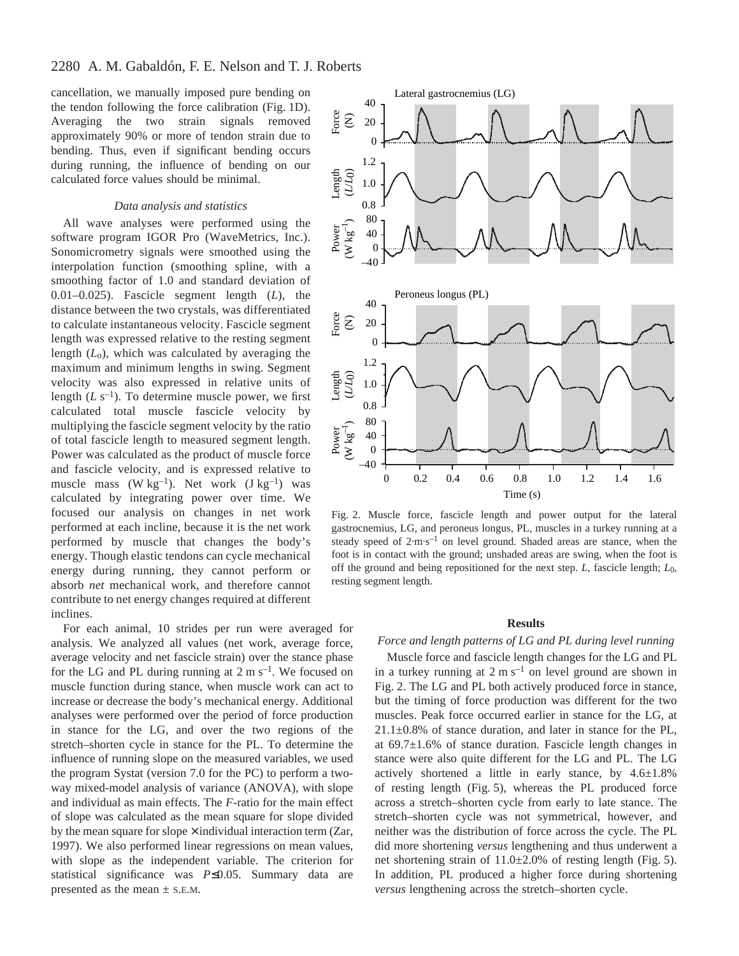# 2280 A. M. Gabaldón, F. E. Nelson and T. J. Roberts

cancellation, we manually imposed pure bending on the tendon following the force calibration (Fig. 1D). Averaging the two strain signals removed approximately 90% or more of tendon strain due to bending. Thus, even if significant bending occurs during running, the influence of bending on our calculated force values should be minimal.

#### *Data analysis and statistics*

All wave analyses were performed using the software program IGOR Pro (WaveMetrics, Inc.). Sonomicrometry signals were smoothed using the interpolation function (smoothing spline, with a smoothing factor of 1.0 and standard deviation of 0.01–0.025). Fascicle segment length (*L*), the distance between the two crystals, was differentiated to calculate instantaneous velocity. Fascicle segment length was expressed relative to the resting segment length  $(L_0)$ , which was calculated by averaging the maximum and minimum lengths in swing. Segment velocity was also expressed in relative units of length  $(L \text{ s}^{-1})$ . To determine muscle power, we first calculated total muscle fascicle velocity by multiplying the fascicle segment velocity by the ratio of total fascicle length to measured segment length. Power was calculated as the product of muscle force and fascicle velocity, and is expressed relative to muscle mass  $(W \text{ kg}^{-1})$ . Net work  $(J \text{ kg}^{-1})$  was calculated by integrating power over time. We focused our analysis on changes in net work performed at each incline, because it is the net work performed by muscle that changes the body's energy. Though elastic tendons can cycle mechanical energy during running, they cannot perform or absorb *net* mechanical work, and therefore cannot contribute to net energy changes required at different inclines.

For each animal, 10 strides per run were averaged for analysis. We analyzed all values (net work, average force, average velocity and net fascicle strain) over the stance phase for the LG and PL during running at  $2 \text{ m s}^{-1}$ . We focused on muscle function during stance, when muscle work can act to increase or decrease the body's mechanical energy. Additional analyses were performed over the period of force production in stance for the LG, and over the two regions of the stretch–shorten cycle in stance for the PL. To determine the influence of running slope on the measured variables, we used the program Systat (version 7.0 for the PC) to perform a twoway mixed-model analysis of variance (ANOVA), with slope and individual as main effects. The *F*-ratio for the main effect of slope was calculated as the mean square for slope divided by the mean square for slope  $\times$  individual interaction term (Zar, 1997). We also performed linear regressions on mean values, with slope as the independent variable. The criterion for statistical significance was *P*≤0.05. Summary data are presented as the mean  $\pm$  s.E.M.



Fig. 2. Muscle force, fascicle length and power output for the lateral gastrocnemius, LG, and peroneus longus, PL, muscles in a turkey running at a steady speed of  $2 \cdot m \cdot s^{-1}$  on level ground. Shaded areas are stance, when the foot is in contact with the ground; unshaded areas are swing, when the foot is off the ground and being repositioned for the next step. *L*, fascicle length; *L*0, resting segment length.

# **Results**

# *Force and length patterns of LG and PL during level running*

Muscle force and fascicle length changes for the LG and PL in a turkey running at  $2 \text{ m s}^{-1}$  on level ground are shown in Fig. 2. The LG and PL both actively produced force in stance, but the timing of force production was different for the two muscles. Peak force occurred earlier in stance for the LG, at 21.1±0.8% of stance duration, and later in stance for the PL, at 69.7±1.6% of stance duration. Fascicle length changes in stance were also quite different for the LG and PL. The LG actively shortened a little in early stance, by  $4.6 \pm 1.8\%$ of resting length (Fig. 5), whereas the PL produced force across a stretch–shorten cycle from early to late stance. The stretch–shorten cycle was not symmetrical, however, and neither was the distribution of force across the cycle. The PL did more shortening *versus* lengthening and thus underwent a net shortening strain of  $11.0 \pm 2.0\%$  of resting length (Fig. 5). In addition, PL produced a higher force during shortening *versus* lengthening across the stretch–shorten cycle.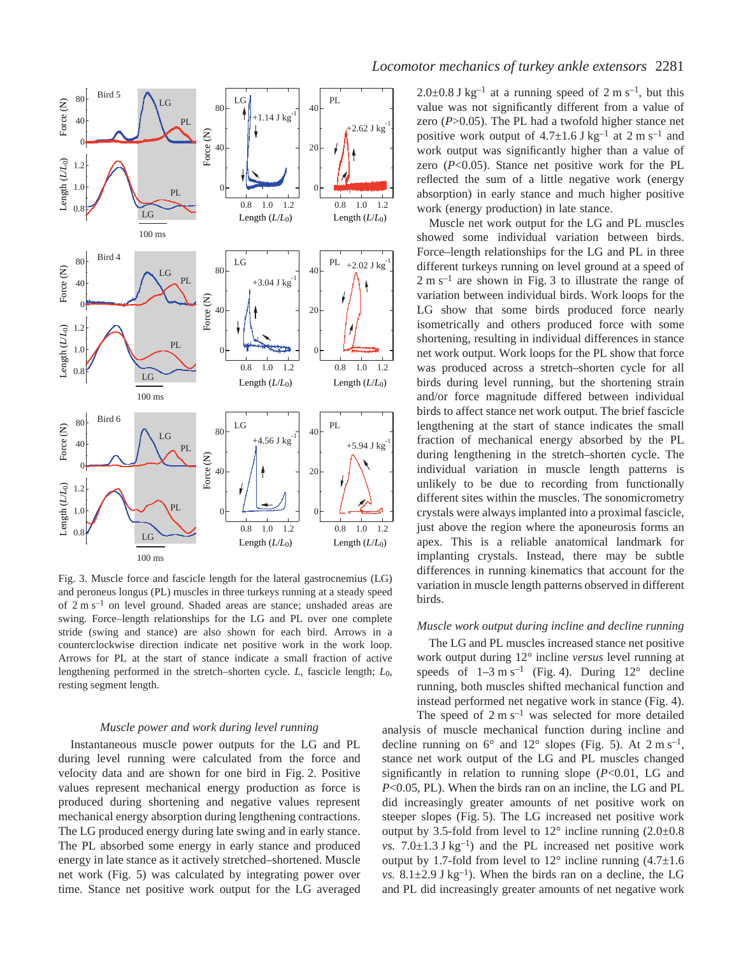

Fig. 3. Muscle force and fascicle length for the lateral gastrocnemius (LG) and peroneus longus (PL) muscles in three turkeys running at a steady speed of  $2 \text{ m s}^{-1}$  on level ground. Shaded areas are stance; unshaded areas are swing. Force–length relationships for the LG and PL over one complete stride (swing and stance) are also shown for each bird. Arrows in a counterclockwise direction indicate net positive work in the work loop. Arrows for PL at the start of stance indicate a small fraction of active lengthening performed in the stretch–shorten cycle. *L*, fascicle length; *L*0, resting segment length.

#### *Muscle power and work during level running*

Instantaneous muscle power outputs for the LG and PL during level running were calculated from the force and velocity data and are shown for one bird in Fig. 2. Positive values represent mechanical energy production as force is produced during shortening and negative values represent mechanical energy absorption during lengthening contractions. The LG produced energy during late swing and in early stance. The PL absorbed some energy in early stance and produced energy in late stance as it actively stretched–shortened. Muscle net work (Fig. 5) was calculated by integrating power over time. Stance net positive work output for the LG averaged

 $2.0\pm0.8$  J kg<sup>-1</sup> at a running speed of  $2 \text{ m s}^{-1}$ , but this value was not significantly different from a value of zero (*P*>0.05). The PL had a twofold higher stance net positive work output of  $4.7\pm1.6~J~kg^{-1}$  at  $2~m~s^{-1}$  and work output was significantly higher than a value of zero (*P*<0.05). Stance net positive work for the PL reflected the sum of a little negative work (energy absorption) in early stance and much higher positive work (energy production) in late stance.

Muscle net work output for the LG and PL muscles showed some individual variation between birds. Force–length relationships for the LG and PL in three different turkeys running on level ground at a speed of  $2 \text{ m s}^{-1}$  are shown in Fig. 3 to illustrate the range of variation between individual birds. Work loops for the LG show that some birds produced force nearly isometrically and others produced force with some shortening, resulting in individual differences in stance net work output. Work loops for the PL show that force was produced across a stretch–shorten cycle for all birds during level running, but the shortening strain and/or force magnitude differed between individual birds to affect stance net work output. The brief fascicle lengthening at the start of stance indicates the small fraction of mechanical energy absorbed by the PL during lengthening in the stretch–shorten cycle. The individual variation in muscle length patterns is unlikely to be due to recording from functionally different sites within the muscles. The sonomicrometry crystals were always implanted into a proximal fascicle, just above the region where the aponeurosis forms an apex. This is a reliable anatomical landmark for implanting crystals. Instead, there may be subtle differences in running kinematics that account for the variation in muscle length patterns observed in different birds.

# *Muscle work output during incline and decline running*

The LG and PL muscles increased stance net positive work output during 12° incline *versus* level running at speeds of  $1-3 \text{ m s}^{-1}$  (Fig. 4). During  $12^{\circ}$  decline running, both muscles shifted mechanical function and instead performed net negative work in stance (Fig. 4). The speed of  $2 \text{ m s}^{-1}$  was selected for more detailed

analysis of muscle mechanical function during incline and decline running on  $6^{\circ}$  and  $12^{\circ}$  slopes (Fig. 5). At  $2 \text{ m s}^{-1}$ , stance net work output of the LG and PL muscles changed significantly in relation to running slope (*P*<0.01, LG and *P*<0.05, PL). When the birds ran on an incline, the LG and PL did increasingly greater amounts of net positive work on steeper slopes (Fig. 5). The LG increased net positive work output by 3.5-fold from level to  $12^{\circ}$  incline running  $(2.0\pm0.8$ *vs.*  $7.0 \pm 1.3$  J kg<sup>-1</sup>) and the PL increased net positive work output by 1.7-fold from level to  $12^{\circ}$  incline running  $(4.7\pm1.6$ *vs.*  $8.1 \pm 2.9$  J kg<sup>-1</sup>). When the birds ran on a decline, the LG and PL did increasingly greater amounts of net negative work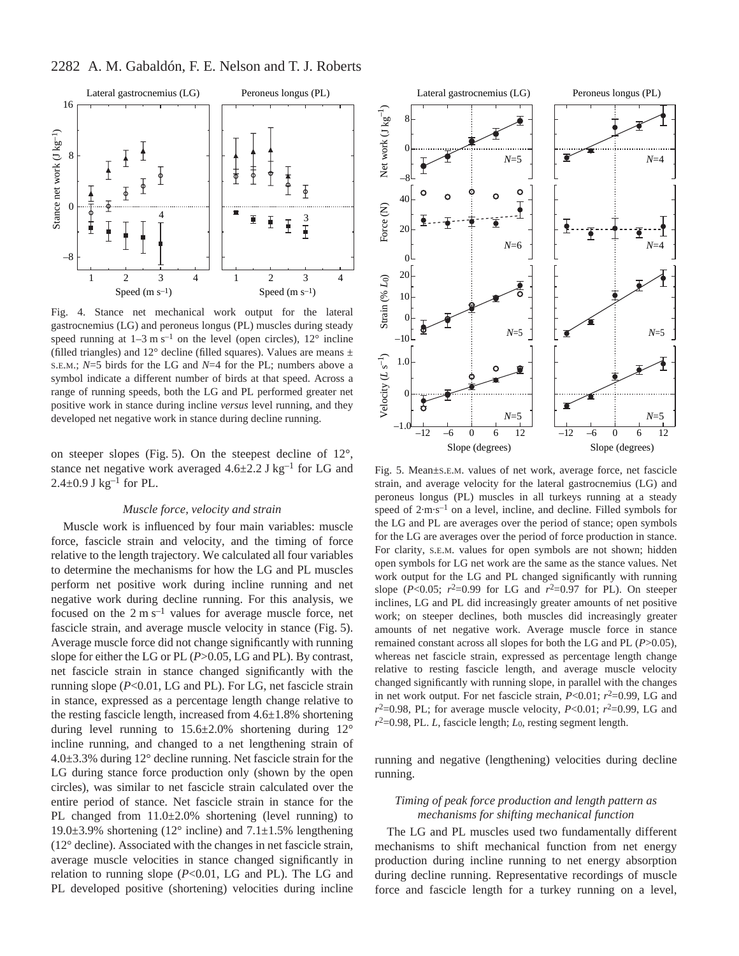2282 A. M. Gabaldón, F. E. Nelson and T. J. Roberts



Fig. 4. Stance net mechanical work output for the lateral gastrocnemius (LG) and peroneus longus (PL) muscles during steady speed running at  $1-3$  m s<sup>-1</sup> on the level (open circles),  $12^{\circ}$  incline (filled triangles) and 12 $\degree$  decline (filled squares). Values are means  $\pm$ S.E.M.; *N*=5 birds for the LG and *N*=4 for the PL; numbers above a symbol indicate a different number of birds at that speed. Across a range of running speeds, both the LG and PL performed greater net positive work in stance during incline *versus* level running, and they developed net negative work in stance during decline running.

on steeper slopes (Fig. 5). On the steepest decline of  $12^{\circ}$ , stance net negative work averaged  $4.6\pm2.2~J~kg^{-1}$  for LG and  $2.4 \pm 0.9$  J kg<sup>-1</sup> for PL.

#### *Muscle force, velocity and strain*

Muscle work is influenced by four main variables: muscle force, fascicle strain and velocity, and the timing of force relative to the length trajectory. We calculated all four variables to determine the mechanisms for how the LG and PL muscles perform net positive work during incline running and net negative work during decline running. For this analysis, we focused on the  $2 \text{ m s}^{-1}$  values for average muscle force, net fascicle strain, and average muscle velocity in stance (Fig. 5). Average muscle force did not change significantly with running slope for either the LG or PL (*P*>0.05, LG and PL). By contrast, net fascicle strain in stance changed significantly with the running slope (*P*<0.01, LG and PL). For LG, net fascicle strain in stance, expressed as a percentage length change relative to the resting fascicle length, increased from 4.6±1.8% shortening during level running to  $15.6\pm2.0\%$  shortening during  $12^{\circ}$ incline running, and changed to a net lengthening strain of 4.0±3.3% during 12° decline running. Net fascicle strain for the LG during stance force production only (shown by the open circles), was similar to net fascicle strain calculated over the entire period of stance. Net fascicle strain in stance for the PL changed from 11.0±2.0% shortening (level running) to 19.0 $\pm$ 3.9% shortening (12° incline) and 7.1 $\pm$ 1.5% lengthening (12° decline). Associated with the changes in net fascicle strain, average muscle velocities in stance changed significantly in relation to running slope (*P*<0.01, LG and PL). The LG and PL developed positive (shortening) velocities during incline



Fig. 5. Mean±S.E.M. values of net work, average force, net fascicle strain, and average velocity for the lateral gastrocnemius (LG) and peroneus longus (PL) muscles in all turkeys running at a steady speed of  $2 \cdot m \cdot s^{-1}$  on a level, incline, and decline. Filled symbols for the LG and PL are averages over the period of stance; open symbols for the LG are averages over the period of force production in stance. For clarity, S.E.M. values for open symbols are not shown; hidden open symbols for LG net work are the same as the stance values. Net work output for the LG and PL changed significantly with running slope ( $P<0.05$ ;  $r^2=0.99$  for LG and  $r^2=0.97$  for PL). On steeper inclines, LG and PL did increasingly greater amounts of net positive work; on steeper declines, both muscles did increasingly greater amounts of net negative work. Average muscle force in stance remained constant across all slopes for both the LG and PL (*P*>0.05), whereas net fascicle strain, expressed as percentage length change relative to resting fascicle length, and average muscle velocity changed significantly with running slope, in parallel with the changes in net work output. For net fascicle strain, *P*<0.01; *r*2=0.99, LG and  $r^2$ =0.98, PL; for average muscle velocity, *P*<0.01;  $r^2$ =0.99, LG and *r*2=0.98, PL. *L*, fascicle length; *L*0, resting segment length.

running and negative (lengthening) velocities during decline running.

# *Timing of peak force production and length pattern as mechanisms for shifting mechanical function*

The LG and PL muscles used two fundamentally different mechanisms to shift mechanical function from net energy production during incline running to net energy absorption during decline running. Representative recordings of muscle force and fascicle length for a turkey running on a level,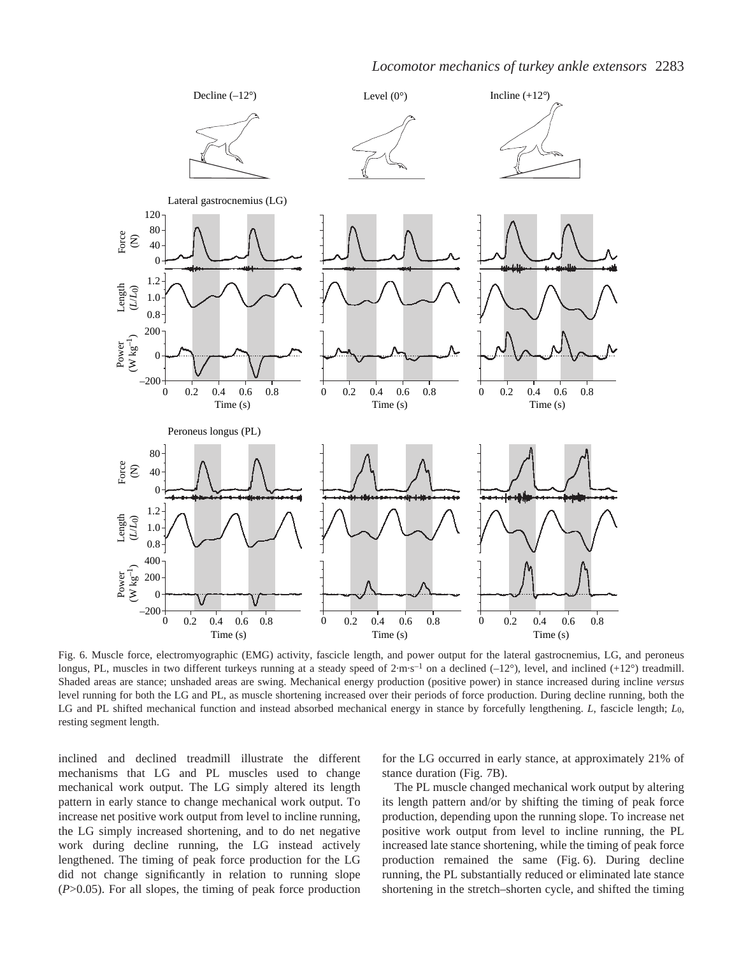

Fig. 6. Muscle force, electromyographic (EMG) activity, fascicle length, and power output for the lateral gastrocnemius, LG, and peroneus longus, PL, muscles in two different turkeys running at a steady speed of  $2 \cdot m \cdot s^{-1}$  on a declined (-12°), level, and inclined (+12°) treadmill. Shaded areas are stance; unshaded areas are swing. Mechanical energy production (positive power) in stance increased during incline *versus* level running for both the LG and PL, as muscle shortening increased over their periods of force production. During decline running, both the LG and PL shifted mechanical function and instead absorbed mechanical energy in stance by forcefully lengthening. *L*, fascicle length; *L*0, resting segment length.

inclined and declined treadmill illustrate the different mechanisms that LG and PL muscles used to change mechanical work output. The LG simply altered its length pattern in early stance to change mechanical work output. To increase net positive work output from level to incline running, the LG simply increased shortening, and to do net negative work during decline running, the LG instead actively lengthened. The timing of peak force production for the LG did not change significantly in relation to running slope (*P*>0.05). For all slopes, the timing of peak force production

for the LG occurred in early stance, at approximately 21% of stance duration (Fig. 7B).

The PL muscle changed mechanical work output by altering its length pattern and/or by shifting the timing of peak force production, depending upon the running slope. To increase net positive work output from level to incline running, the PL increased late stance shortening, while the timing of peak force production remained the same (Fig. 6). During decline running, the PL substantially reduced or eliminated late stance shortening in the stretch–shorten cycle, and shifted the timing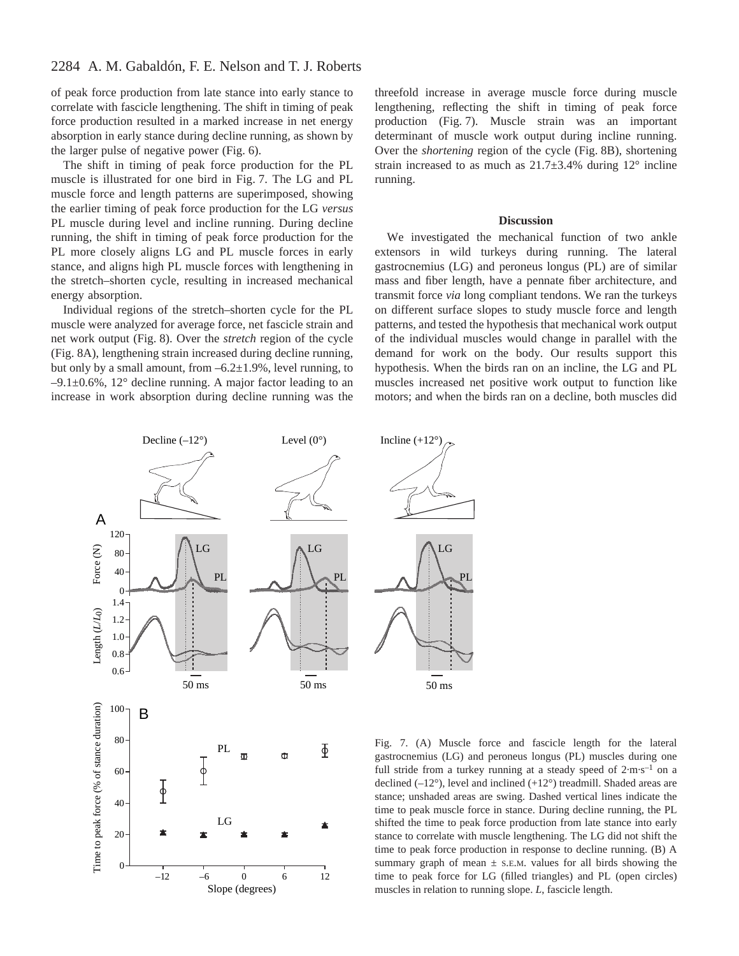# 2284 A. M. Gabaldón, F. E. Nelson and T. J. Roberts

of peak force production from late stance into early stance to correlate with fascicle lengthening. The shift in timing of peak force production resulted in a marked increase in net energy absorption in early stance during decline running, as shown by the larger pulse of negative power (Fig. 6).

The shift in timing of peak force production for the PL muscle is illustrated for one bird in Fig. 7. The LG and PL muscle force and length patterns are superimposed, showing the earlier timing of peak force production for the LG *versus* PL muscle during level and incline running. During decline running, the shift in timing of peak force production for the PL more closely aligns LG and PL muscle forces in early stance, and aligns high PL muscle forces with lengthening in the stretch–shorten cycle, resulting in increased mechanical energy absorption.

Individual regions of the stretch–shorten cycle for the PL muscle were analyzed for average force, net fascicle strain and net work output (Fig.·8). Over the *stretch* region of the cycle (Fig. 8A), lengthening strain increased during decline running, but only by a small amount, from  $-6.2 \pm 1.9$ %, level running, to –9.1±0.6%, 12° decline running. A major factor leading to an increase in work absorption during decline running was the

threefold increase in average muscle force during muscle lengthening, reflecting the shift in timing of peak force production (Fig. 7). Muscle strain was an important determinant of muscle work output during incline running. Over the *shortening* region of the cycle (Fig. 8B), shortening strain increased to as much as  $21.7\pm3.4\%$  during  $12^{\circ}$  incline running.

### **Discussion**

We investigated the mechanical function of two ankle extensors in wild turkeys during running. The lateral gastrocnemius (LG) and peroneus longus (PL) are of similar mass and fiber length, have a pennate fiber architecture, and transmit force *via* long compliant tendons. We ran the turkeys on different surface slopes to study muscle force and length patterns, and tested the hypothesis that mechanical work output of the individual muscles would change in parallel with the demand for work on the body. Our results support this hypothesis. When the birds ran on an incline, the LG and PL muscles increased net positive work output to function like motors; and when the birds ran on a decline, both muscles did



 $-12$   $-6$  0 6 12

Slope (degrees)

Fig. 7. (A) Muscle force and fascicle length for the lateral gastrocnemius (LG) and peroneus longus (PL) muscles during one full stride from a turkey running at a steady speed of  $2 \cdot m \cdot s^{-1}$  on a declined (–12°), level and inclined (+12°) treadmill. Shaded areas are stance; unshaded areas are swing. Dashed vertical lines indicate the time to peak muscle force in stance. During decline running, the PL shifted the time to peak force production from late stance into early stance to correlate with muscle lengthening. The LG did not shift the time to peak force production in response to decline running. (B) A summary graph of mean  $\pm$  s.E.M. values for all birds showing the time to peak force for LG (filled triangles) and PL (open circles) muscles in relation to running slope. *L*, fascicle length.

PL

LG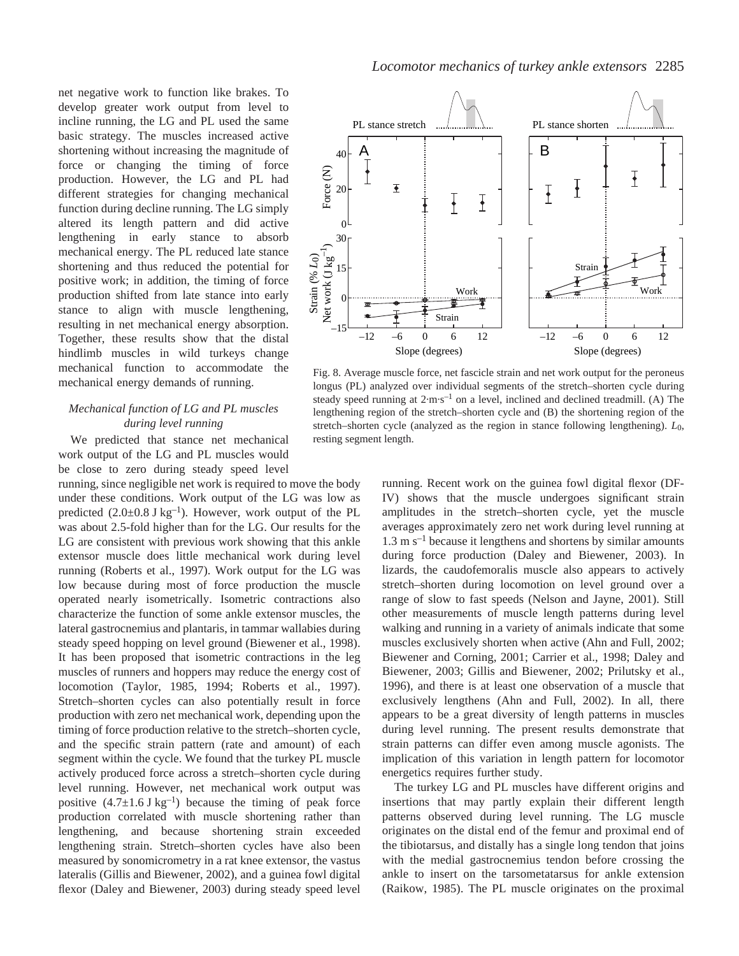net negative work to function like brakes. To develop greater work output from level to incline running, the LG and PL used the same basic strategy. The muscles increased active shortening without increasing the magnitude of force or changing the timing of force production. However, the LG and PL had different strategies for changing mechanical function during decline running. The LG simply altered its length pattern and did active lengthening in early stance to absorb mechanical energy. The PL reduced late stance shortening and thus reduced the potential for positive work; in addition, the timing of force production shifted from late stance into early stance to align with muscle lengthening, resulting in net mechanical energy absorption. Together, these results show that the distal hindlimb muscles in wild turkeys change mechanical function to accommodate the mechanical energy demands of running.

# *Mechanical function of LG and PL muscles during level running*

We predicted that stance net mechanical work output of the LG and PL muscles would be close to zero during steady speed level

running, since negligible net work is required to move the body under these conditions. Work output of the LG was low as predicted  $(2.0\pm0.8~J~kg^{-1})$ . However, work output of the PL was about 2.5-fold higher than for the LG. Our results for the LG are consistent with previous work showing that this ankle extensor muscle does little mechanical work during level running (Roberts et al., 1997). Work output for the LG was low because during most of force production the muscle operated nearly isometrically. Isometric contractions also characterize the function of some ankle extensor muscles, the lateral gastrocnemius and plantaris, in tammar wallabies during steady speed hopping on level ground (Biewener et al., 1998). It has been proposed that isometric contractions in the leg muscles of runners and hoppers may reduce the energy cost of locomotion (Taylor, 1985, 1994; Roberts et al., 1997). Stretch–shorten cycles can also potentially result in force production with zero net mechanical work, depending upon the timing of force production relative to the stretch–shorten cycle, and the specific strain pattern (rate and amount) of each segment within the cycle. We found that the turkey PL muscle actively produced force across a stretch–shorten cycle during level running. However, net mechanical work output was positive  $(4.7\pm1.6~J~kg^{-1})$  because the timing of peak force production correlated with muscle shortening rather than lengthening, and because shortening strain exceeded lengthening strain. Stretch–shorten cycles have also been measured by sonomicrometry in a rat knee extensor, the vastus lateralis (Gillis and Biewener, 2002), and a guinea fowl digital flexor (Daley and Biewener, 2003) during steady speed level



Fig. 8. Average muscle force, net fascicle strain and net work output for the peroneus longus (PL) analyzed over individual segments of the stretch–shorten cycle during steady speed running at 2·m·s–1 on a level, inclined and declined treadmill. (A) The lengthening region of the stretch–shorten cycle and (B) the shortening region of the stretch–shorten cycle (analyzed as the region in stance following lengthening). *L*0, resting segment length.

running. Recent work on the guinea fowl digital flexor (DF-IV) shows that the muscle undergoes significant strain amplitudes in the stretch–shorten cycle, yet the muscle averages approximately zero net work during level running at  $1.3 \text{ m s}^{-1}$  because it lengthens and shortens by similar amounts during force production (Daley and Biewener, 2003). In lizards, the caudofemoralis muscle also appears to actively stretch–shorten during locomotion on level ground over a range of slow to fast speeds (Nelson and Jayne, 2001). Still other measurements of muscle length patterns during level walking and running in a variety of animals indicate that some muscles exclusively shorten when active (Ahn and Full, 2002; Biewener and Corning, 2001; Carrier et al., 1998; Daley and Biewener, 2003; Gillis and Biewener, 2002; Prilutsky et al., 1996), and there is at least one observation of a muscle that exclusively lengthens (Ahn and Full, 2002). In all, there appears to be a great diversity of length patterns in muscles during level running. The present results demonstrate that strain patterns can differ even among muscle agonists. The implication of this variation in length pattern for locomotor energetics requires further study.

The turkey LG and PL muscles have different origins and insertions that may partly explain their different length patterns observed during level running. The LG muscle originates on the distal end of the femur and proximal end of the tibiotarsus, and distally has a single long tendon that joins with the medial gastrocnemius tendon before crossing the ankle to insert on the tarsometatarsus for ankle extension (Raikow, 1985). The PL muscle originates on the proximal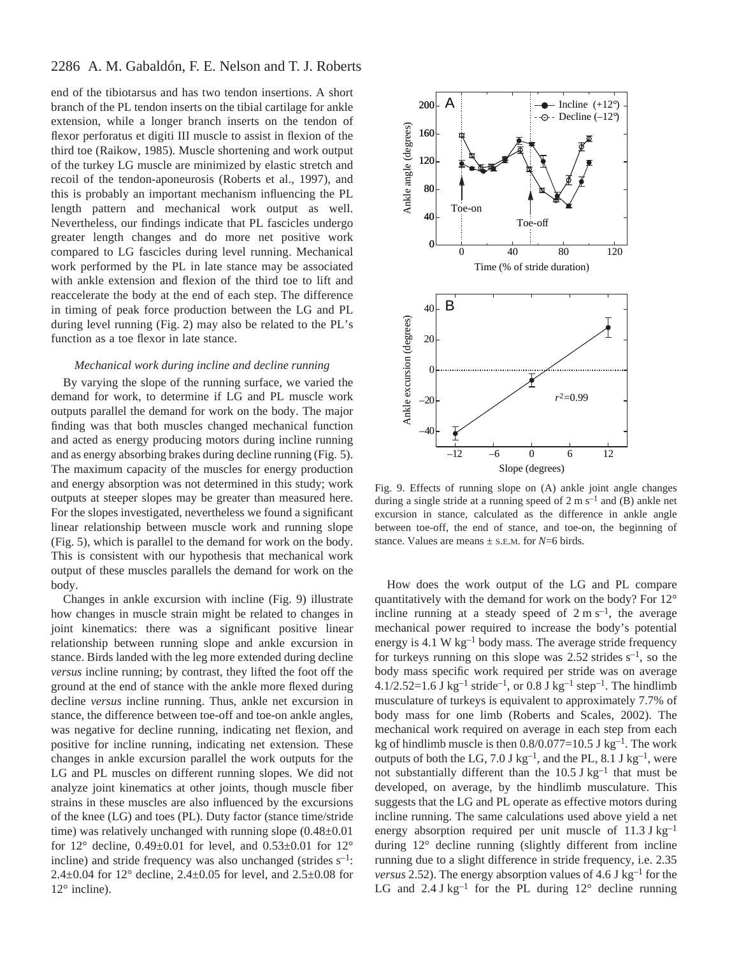# 2286 A. M. Gabaldón, F. E. Nelson and T. J. Roberts

end of the tibiotarsus and has two tendon insertions. A short branch of the PL tendon inserts on the tibial cartilage for ankle extension, while a longer branch inserts on the tendon of flexor perforatus et digiti III muscle to assist in flexion of the third toe (Raikow, 1985). Muscle shortening and work output of the turkey LG muscle are minimized by elastic stretch and recoil of the tendon-aponeurosis (Roberts et al., 1997), and this is probably an important mechanism influencing the PL length pattern and mechanical work output as well. Nevertheless, our findings indicate that PL fascicles undergo greater length changes and do more net positive work compared to LG fascicles during level running. Mechanical work performed by the PL in late stance may be associated with ankle extension and flexion of the third toe to lift and reaccelerate the body at the end of each step. The difference in timing of peak force production between the LG and PL during level running (Fig. 2) may also be related to the PL's function as a toe flexor in late stance.

#### *Mechanical work during incline and decline running*

By varying the slope of the running surface, we varied the demand for work, to determine if LG and PL muscle work outputs parallel the demand for work on the body. The major finding was that both muscles changed mechanical function and acted as energy producing motors during incline running and as energy absorbing brakes during decline running (Fig. 5). The maximum capacity of the muscles for energy production and energy absorption was not determined in this study; work outputs at steeper slopes may be greater than measured here. For the slopes investigated, nevertheless we found a significant linear relationship between muscle work and running slope (Fig. 5), which is parallel to the demand for work on the body. This is consistent with our hypothesis that mechanical work output of these muscles parallels the demand for work on the body.

Changes in ankle excursion with incline (Fig. 9) illustrate how changes in muscle strain might be related to changes in joint kinematics: there was a significant positive linear relationship between running slope and ankle excursion in stance. Birds landed with the leg more extended during decline *versus* incline running; by contrast, they lifted the foot off the ground at the end of stance with the ankle more flexed during decline *versus* incline running. Thus, ankle net excursion in stance, the difference between toe-off and toe-on ankle angles, was negative for decline running, indicating net flexion, and positive for incline running, indicating net extension. These changes in ankle excursion parallel the work outputs for the LG and PL muscles on different running slopes. We did not analyze joint kinematics at other joints, though muscle fiber strains in these muscles are also influenced by the excursions of the knee (LG) and toes (PL). Duty factor (stance time/stride time) was relatively unchanged with running slope (0.48±0.01 for  $12^{\circ}$  decline,  $0.49 \pm 0.01$  for level, and  $0.53 \pm 0.01$  for  $12^{\circ}$ incline) and stride frequency was also unchanged (strides  $s^{-1}$ : 2.4±0.04 for 12° decline, 2.4±0.05 for level, and 2.5±0.08 for 12° incline).



Fig. 9. Effects of running slope on (A) ankle joint angle changes during a single stride at a running speed of  $2 \text{ m s}^{-1}$  and (B) ankle net excursion in stance, calculated as the difference in ankle angle between toe-off, the end of stance, and toe-on, the beginning of stance. Values are means ± S.E.M. for *N*=6 birds.

How does the work output of the LG and PL compare quantitatively with the demand for work on the body? For 12° incline running at a steady speed of  $2 \text{ m s}^{-1}$ , the average mechanical power required to increase the body's potential energy is 4.1 W  $kg^{-1}$  body mass. The average stride frequency for turkeys running on this slope was  $2.52$  strides  $s^{-1}$ , so the body mass specific work required per stride was on average 4.1/2.52=1.6 J kg<sup>-1</sup> stride<sup>-1</sup>, or 0.8 J kg<sup>-1</sup> step<sup>-1</sup>. The hindlimb musculature of turkeys is equivalent to approximately 7.7% of body mass for one limb (Roberts and Scales, 2002). The mechanical work required on average in each step from each kg of hindlimb muscle is then  $0.8/0.077=10.5$  J kg<sup>-1</sup>. The work outputs of both the LG, 7.0 J  $kg^{-1}$ , and the PL, 8.1 J  $kg^{-1}$ , were not substantially different than the  $10.5 \text{ J kg}^{-1}$  that must be developed, on average, by the hindlimb musculature. This suggests that the LG and PL operate as effective motors during incline running. The same calculations used above yield a net energy absorption required per unit muscle of  $11.3 \text{ J kg}^{-1}$ during 12° decline running (slightly different from incline running due to a slight difference in stride frequency, i.e. 2.35 *versus* 2.52). The energy absorption values of 4.6 J kg<sup>-1</sup> for the LG and  $2.4 \text{ J kg}^{-1}$  for the PL during  $12^{\circ}$  decline running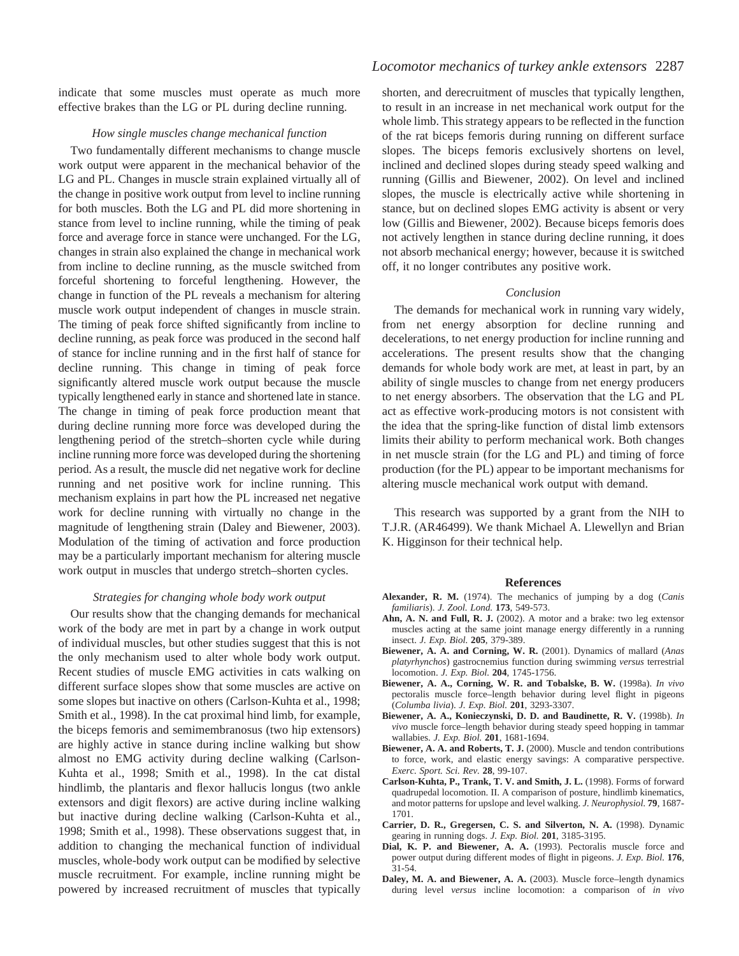indicate that some muscles must operate as much more effective brakes than the LG or PL during decline running.

### *How single muscles change mechanical function*

Two fundamentally different mechanisms to change muscle work output were apparent in the mechanical behavior of the LG and PL. Changes in muscle strain explained virtually all of the change in positive work output from level to incline running for both muscles. Both the LG and PL did more shortening in stance from level to incline running, while the timing of peak force and average force in stance were unchanged. For the LG, changes in strain also explained the change in mechanical work from incline to decline running, as the muscle switched from forceful shortening to forceful lengthening. However, the change in function of the PL reveals a mechanism for altering muscle work output independent of changes in muscle strain. The timing of peak force shifted significantly from incline to decline running, as peak force was produced in the second half of stance for incline running and in the first half of stance for decline running. This change in timing of peak force significantly altered muscle work output because the muscle typically lengthened early in stance and shortened late in stance. The change in timing of peak force production meant that during decline running more force was developed during the lengthening period of the stretch–shorten cycle while during incline running more force was developed during the shortening period. As a result, the muscle did net negative work for decline running and net positive work for incline running. This mechanism explains in part how the PL increased net negative work for decline running with virtually no change in the magnitude of lengthening strain (Daley and Biewener, 2003). Modulation of the timing of activation and force production may be a particularly important mechanism for altering muscle work output in muscles that undergo stretch–shorten cycles.

#### *Strategies for changing whole body work output*

Our results show that the changing demands for mechanical work of the body are met in part by a change in work output of individual muscles, but other studies suggest that this is not the only mechanism used to alter whole body work output. Recent studies of muscle EMG activities in cats walking on different surface slopes show that some muscles are active on some slopes but inactive on others (Carlson-Kuhta et al., 1998; Smith et al., 1998). In the cat proximal hind limb, for example, the biceps femoris and semimembranosus (two hip extensors) are highly active in stance during incline walking but show almost no EMG activity during decline walking (Carlson-Kuhta et al., 1998; Smith et al., 1998). In the cat distal hindlimb, the plantaris and flexor hallucis longus (two ankle extensors and digit flexors) are active during incline walking but inactive during decline walking (Carlson-Kuhta et al., 1998; Smith et al., 1998). These observations suggest that, in addition to changing the mechanical function of individual muscles, whole-body work output can be modified by selective muscle recruitment. For example, incline running might be powered by increased recruitment of muscles that typically

# *Locomotor mechanics of turkey ankle extensors* 2287

shorten, and derecruitment of muscles that typically lengthen, to result in an increase in net mechanical work output for the whole limb. This strategy appears to be reflected in the function of the rat biceps femoris during running on different surface slopes. The biceps femoris exclusively shortens on level, inclined and declined slopes during steady speed walking and running (Gillis and Biewener, 2002). On level and inclined slopes, the muscle is electrically active while shortening in stance, but on declined slopes EMG activity is absent or very low (Gillis and Biewener, 2002). Because biceps femoris does not actively lengthen in stance during decline running, it does not absorb mechanical energy; however, because it is switched off, it no longer contributes any positive work.

## *Conclusion*

The demands for mechanical work in running vary widely, from net energy absorption for decline running and decelerations, to net energy production for incline running and accelerations. The present results show that the changing demands for whole body work are met, at least in part, by an ability of single muscles to change from net energy producers to net energy absorbers. The observation that the LG and PL act as effective work-producing motors is not consistent with the idea that the spring-like function of distal limb extensors limits their ability to perform mechanical work. Both changes in net muscle strain (for the LG and PL) and timing of force production (for the PL) appear to be important mechanisms for altering muscle mechanical work output with demand.

This research was supported by a grant from the NIH to T.J.R. (AR46499). We thank Michael A. Llewellyn and Brian K. Higginson for their technical help.

#### **References**

- **Alexander, R. M.** (1974). The mechanics of jumping by a dog (*Canis familiaris*). *J. Zool. Lond.* **173**, 549-573.
- **Ahn, A. N. and Full, R. J.** (2002). A motor and a brake: two leg extensor muscles acting at the same joint manage energy differently in a running insect. *J. Exp. Biol.* **205**, 379-389.
- **Biewener, A. A. and Corning, W. R.** (2001). Dynamics of mallard (*Anas platyrhynchos*) gastrocnemius function during swimming *versus* terrestrial locomotion. *J. Exp. Biol.* **204**, 1745-1756.
- **Biewener, A. A., Corning, W. R. and Tobalske, B. W.** (1998a). *In vivo* pectoralis muscle force–length behavior during level flight in pigeons (*Columba livia*). *J. Exp. Biol.* **201**, 3293-3307.
- **Biewener, A. A., Konieczynski, D. D. and Baudinette, R. V.** (1998b). *In vivo* muscle force–length behavior during steady speed hopping in tammar wallabies. *J. Exp. Biol.* **201**, 1681-1694.
- **Biewener, A. A. and Roberts, T. J.** (2000). Muscle and tendon contributions to force, work, and elastic energy savings: A comparative perspective. *Exerc. Sport. Sci. Rev.* **28**, 99-107.
- **Carlson-Kuhta, P., Trank, T. V. and Smith, J. L.** (1998). Forms of forward quadrupedal locomotion. II. A comparison of posture, hindlimb kinematics, and motor patterns for upslope and level walking. *J. Neurophysiol.* **79**, 1687- 1701.
- **Carrier, D. R., Gregersen, C. S. and Silverton, N. A.** (1998). Dynamic gearing in running dogs. *J. Exp. Biol.* **201**, 3185-3195.
- **Dial, K. P. and Biewener, A. A.** (1993). Pectoralis muscle force and power output during different modes of flight in pigeons. *J. Exp. Biol.* **176**, 31-54.
- **Daley, M. A. and Biewener, A. A.** (2003). Muscle force–length dynamics during level *versus* incline locomotion: a comparison of *in vivo*